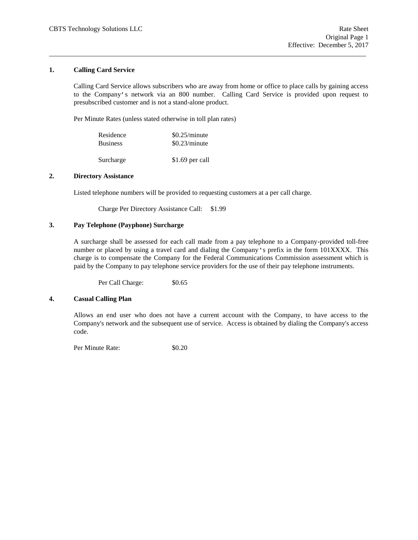## **1. Calling Card Service**

Calling Card Service allows subscribers who are away from home or office to place calls by gaining access to the Company's network via an 800 number. Calling Card Service is provided upon request to presubscribed customer and is not a stand-alone product.

\_\_\_\_\_\_\_\_\_\_\_\_\_\_\_\_\_\_\_\_\_\_\_\_\_\_\_\_\_\_\_\_\_\_\_\_\_\_\_\_\_\_\_\_\_\_\_\_\_\_\_\_\_\_\_\_\_\_\_\_\_\_\_\_\_\_\_\_\_\_\_\_\_\_\_\_\_\_\_\_\_\_\_\_\_\_\_\_\_\_\_\_\_

Per Minute Rates (unless stated otherwise in toll plan rates)

| Residence       | \$0.25/minute |
|-----------------|---------------|
| <b>Business</b> | \$0.23/minute |
|                 |               |

Surcharge \$1.69 per call

## **2. Directory Assistance**

Listed telephone numbers will be provided to requesting customers at a per call charge.

Charge Per Directory Assistance Call: \$1.99

## **3. Pay Telephone (Payphone) Surcharge**

A surcharge shall be assessed for each call made from a pay telephone to a Company-provided toll-free number or placed by using a travel card and dialing the Company's prefix in the form 101XXXX. This charge is to compensate the Company for the Federal Communications Commission assessment which is paid by the Company to pay telephone service providers for the use of their pay telephone instruments.

Per Call Charge:  $$0.65$ 

### **4. Casual Calling Plan**

Allows an end user who does not have a current account with the Company, to have access to the Company's network and the subsequent use of service. Access is obtained by dialing the Company's access code.

Per Minute Rate:  $$0.20$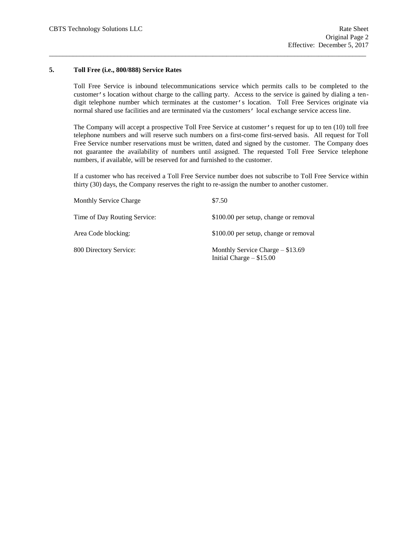### **5. Toll Free (i.e., 800/888) Service Rates**

Toll Free Service is inbound telecommunications service which permits calls to be completed to the customer's location without charge to the calling party. Access to the service is gained by dialing a tendigit telephone number which terminates at the customer's location. Toll Free Services originate via normal shared use facilities and are terminated via the customers' local exchange service access line.

\_\_\_\_\_\_\_\_\_\_\_\_\_\_\_\_\_\_\_\_\_\_\_\_\_\_\_\_\_\_\_\_\_\_\_\_\_\_\_\_\_\_\_\_\_\_\_\_\_\_\_\_\_\_\_\_\_\_\_\_\_\_\_\_\_\_\_\_\_\_\_\_\_\_\_\_\_\_\_\_\_\_\_\_\_\_\_\_\_\_\_\_\_

The Company will accept a prospective Toll Free Service at customer's request for up to ten (10) toll free telephone numbers and will reserve such numbers on a first-come first-served basis. All request for Toll Free Service number reservations must be written, dated and signed by the customer. The Company does not guarantee the availability of numbers until assigned. The requested Toll Free Service telephone numbers, if available, will be reserved for and furnished to the customer.

If a customer who has received a Toll Free Service number does not subscribe to Toll Free Service within thirty (30) days, the Company reserves the right to re-assign the number to another customer.

| <b>Monthly Service Charge</b> | \$7.50                                                           |
|-------------------------------|------------------------------------------------------------------|
| Time of Day Routing Service:  | \$100.00 per setup, change or removal                            |
| Area Code blocking:           | \$100.00 per setup, change or removal                            |
| 800 Directory Service:        | Monthly Service Charge $-$ \$13.69<br>Initial Charge $-$ \$15.00 |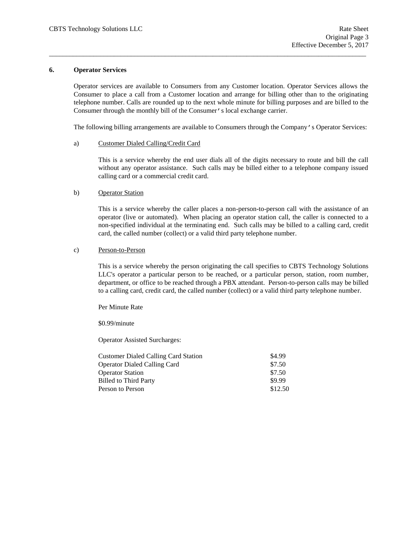### **6. Operator Services**

Operator services are available to Consumers from any Customer location. Operator Services allows the Consumer to place a call from a Customer location and arrange for billing other than to the originating telephone number. Calls are rounded up to the next whole minute for billing purposes and are billed to the Consumer through the monthly bill of the Consumer's local exchange carrier.

\_\_\_\_\_\_\_\_\_\_\_\_\_\_\_\_\_\_\_\_\_\_\_\_\_\_\_\_\_\_\_\_\_\_\_\_\_\_\_\_\_\_\_\_\_\_\_\_\_\_\_\_\_\_\_\_\_\_\_\_\_\_\_\_\_\_\_\_\_\_\_\_\_\_\_\_\_\_\_\_\_\_\_\_\_\_\_\_\_\_\_\_\_

The following billing arrangements are available to Consumers through the Company's Operator Services:

### a) Customer Dialed Calling/Credit Card

This is a service whereby the end user dials all of the digits necessary to route and bill the call without any operator assistance. Such calls may be billed either to a telephone company issued calling card or a commercial credit card.

### b) Operator Station

This is a service whereby the caller places a non-person-to-person call with the assistance of an operator (live or automated). When placing an operator station call, the caller is connected to a non-specified individual at the terminating end. Such calls may be billed to a calling card, credit card, the called number (collect) or a valid third party telephone number.

### c) Person-to-Person

This is a service whereby the person originating the call specifies to CBTS Technology Solutions LLC's operator a particular person to be reached, or a particular person, station, room number, department, or office to be reached through a PBX attendant. Person-to-person calls may be billed to a calling card, credit card, the called number (collect) or a valid third party telephone number.

Per Minute Rate

\$0.99/minute

Operator Assisted Surcharges:

| \$4.99  |
|---------|
| \$7.50  |
| \$7.50  |
| \$9.99  |
| \$12.50 |
|         |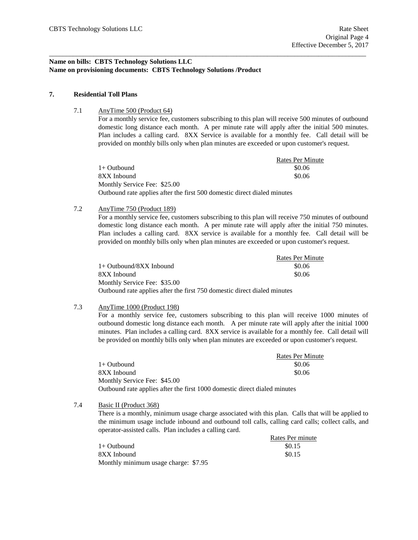# **Name on bills: CBTS Technology Solutions LLC Name on provisioning documents: CBTS Technology Solutions /Product**

### **7. Residential Toll Plans**

7.1 AnyTime 500 (Product 64)

For a monthly service fee, customers subscribing to this plan will receive 500 minutes of outbound domestic long distance each month. A per minute rate will apply after the initial 500 minutes. Plan includes a calling card. 8XX Service is available for a monthly fee. Call detail will be provided on monthly bills only when plan minutes are exceeded or upon customer's request.

|                                                                          | <b>Rates Per Minute</b> |
|--------------------------------------------------------------------------|-------------------------|
| $1+$ Outbound                                                            | \$0.06                  |
| 8XX Inbound                                                              | \$0.06                  |
| Monthly Service Fee: \$25.00                                             |                         |
| Outbound rate applies after the first 500 domestic direct dialed minutes |                         |

\_\_\_\_\_\_\_\_\_\_\_\_\_\_\_\_\_\_\_\_\_\_\_\_\_\_\_\_\_\_\_\_\_\_\_\_\_\_\_\_\_\_\_\_\_\_\_\_\_\_\_\_\_\_\_\_\_\_\_\_\_\_\_\_\_\_\_\_\_\_\_\_\_\_\_\_\_\_\_\_\_\_\_\_\_\_\_\_\_\_\_\_\_

### 7.2 AnyTime 750 (Product 189)

For a monthly service fee, customers subscribing to this plan will receive 750 minutes of outbound domestic long distance each month. A per minute rate will apply after the initial 750 minutes. Plan includes a calling card. 8XX service is available for a monthly fee. Call detail will be provided on monthly bills only when plan minutes are exceeded or upon customer's request.

|                                                                          | <b>Rates Per Minute</b> |
|--------------------------------------------------------------------------|-------------------------|
| $1+$ Outbound/8XX Inbound                                                | \$0.06                  |
| 8XX Inbound                                                              | \$0.06                  |
| Monthly Service Fee: \$35.00                                             |                         |
| Outbound rate applies after the first 750 domestic direct dialed minutes |                         |

# 7.3 AnyTime 1000 (Product 198)

For a monthly service fee, customers subscribing to this plan will receive 1000 minutes of outbound domestic long distance each month. A per minute rate will apply after the initial 1000 minutes. Plan includes a calling card. 8XX service is available for a monthly fee. Call detail will be provided on monthly bills only when plan minutes are exceeded or upon customer's request.

|                                                                           | Rates Per Minute |
|---------------------------------------------------------------------------|------------------|
| $1+$ Outbound                                                             | \$0.06           |
| 8XX Inbound                                                               | \$0.06           |
| Monthly Service Fee: \$45.00                                              |                  |
| Outbound rate applies after the first 1000 domestic direct dialed minutes |                  |

7.4 Basic II (Product 368)

There is a monthly, minimum usage charge associated with this plan. Calls that will be applied to the minimum usage include inbound and outbound toll calls, calling card calls; collect calls, and operator-assisted calls. Plan includes a calling card.

|                                      | Rates Per minute |
|--------------------------------------|------------------|
| 1+ Outbound                          | \$0.15           |
| 8XX Inbound                          | \$0.15           |
| Monthly minimum usage charge: \$7.95 |                  |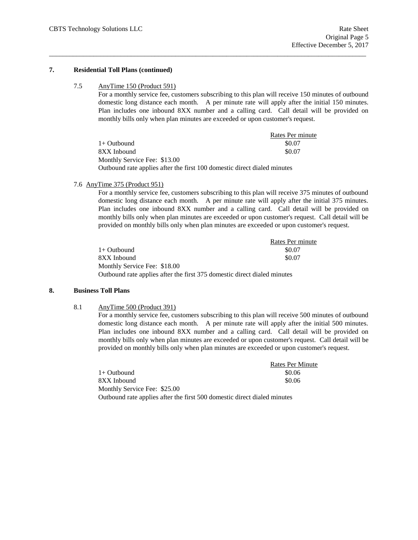### **7. Residential Toll Plans (continued)**

## 7.5 AnyTime 150 (Product 591)

For a monthly service fee, customers subscribing to this plan will receive 150 minutes of outbound domestic long distance each month. A per minute rate will apply after the initial 150 minutes. Plan includes one inbound 8XX number and a calling card. Call detail will be provided on monthly bills only when plan minutes are exceeded or upon customer's request.

|                                                                          | Rates Per minute |
|--------------------------------------------------------------------------|------------------|
| $1+$ Outbound                                                            | \$0.07           |
| 8XX Inbound                                                              | \$0.07           |
| Monthly Service Fee: \$13.00                                             |                  |
| Outbound rate applies after the first 100 domestic direct dialed minutes |                  |

\_\_\_\_\_\_\_\_\_\_\_\_\_\_\_\_\_\_\_\_\_\_\_\_\_\_\_\_\_\_\_\_\_\_\_\_\_\_\_\_\_\_\_\_\_\_\_\_\_\_\_\_\_\_\_\_\_\_\_\_\_\_\_\_\_\_\_\_\_\_\_\_\_\_\_\_\_\_\_\_\_\_\_\_\_\_\_\_\_\_\_\_\_

### 7.6 AnyTime 375 (Product 951)

For a monthly service fee, customers subscribing to this plan will receive 375 minutes of outbound domestic long distance each month. A per minute rate will apply after the initial 375 minutes. Plan includes one inbound 8XX number and a calling card. Call detail will be provided on monthly bills only when plan minutes are exceeded or upon customer's request. Call detail will be provided on monthly bills only when plan minutes are exceeded or upon customer's request.

|                                                                          | Rates Per minute |
|--------------------------------------------------------------------------|------------------|
| 1+ Outbound                                                              | \$0.07           |
| 8XX Inbound                                                              | \$0.07           |
| Monthly Service Fee: \$18.00                                             |                  |
| Outbound rate applies after the first 375 domestic direct dialed minutes |                  |

# **8. Business Toll Plans**

8.1 AnyTime 500 (Product 391)

For a monthly service fee, customers subscribing to this plan will receive 500 minutes of outbound domestic long distance each month. A per minute rate will apply after the initial 500 minutes. Plan includes one inbound 8XX number and a calling card. Call detail will be provided on monthly bills only when plan minutes are exceeded or upon customer's request. Call detail will be provided on monthly bills only when plan minutes are exceeded or upon customer's request.

|                                                                          | <b>Rates Per Minute</b> |
|--------------------------------------------------------------------------|-------------------------|
| 1+ Outbound                                                              | \$0.06                  |
| 8XX Inbound                                                              | \$0.06                  |
| Monthly Service Fee: \$25.00                                             |                         |
| Outbound rate applies after the first 500 domestic direct dialed minutes |                         |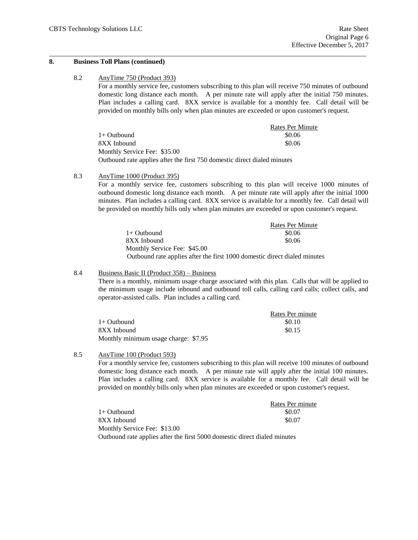### **8. Business Toll Plans (continued)**

## 8.2 AnyTime 750 (Product 393)

For a monthly service fee, customers subscribing to this plan will receive 750 minutes of outbound domestic long distance each month. A per minute rate will apply after the initial 750 minutes. Plan includes a calling card. 8XX service is available for a monthly fee. Call detail will be provided on monthly bills only when plan minutes are exceeded or upon customer's request.

|                                                                          | Rates Per Minute |
|--------------------------------------------------------------------------|------------------|
| 1+ Outbound                                                              | \$0.06           |
| 8XX Inbound                                                              | \$0.06           |
| Monthly Service Fee: \$35.00                                             |                  |
| Outbound rate applies after the first 750 domestic direct dialed minutes |                  |

\_\_\_\_\_\_\_\_\_\_\_\_\_\_\_\_\_\_\_\_\_\_\_\_\_\_\_\_\_\_\_\_\_\_\_\_\_\_\_\_\_\_\_\_\_\_\_\_\_\_\_\_\_\_\_\_\_\_\_\_\_\_\_\_\_\_\_\_\_\_\_\_\_\_\_\_\_\_\_\_\_\_\_\_\_\_\_\_\_\_\_\_\_

## 8.3 AnyTime 1000 (Product 395)

For a monthly service fee, customers subscribing to this plan will receive 1000 minutes of outbound domestic long distance each month. A per minute rate will apply after the initial 1000 minutes. Plan includes a calling card. 8XX service is available for a monthly fee. Call detail will be provided on monthly bills only when plan minutes are exceeded or upon customer's request.

|                                                                           | <b>Rates Per Minute</b> |
|---------------------------------------------------------------------------|-------------------------|
| 1+ Outbound                                                               | \$0.06                  |
| 8XX Inbound                                                               | \$0.06                  |
| Monthly Service Fee: \$45.00                                              |                         |
| Outbound rate applies after the first 1000 domestic direct dialed minutes |                         |

### 8.4 Business Basic II (Product 358) – Business

There is a monthly, minimum usage charge associated with this plan. Calls that will be applied to the minimum usage include inbound and outbound toll calls, calling card calls; collect calls, and operator-assisted calls. Plan includes a calling card.

|                                      | Rates Per minute |
|--------------------------------------|------------------|
| $1+$ Outbound                        | \$0.10           |
| 8XX Inbound                          | \$0.15           |
| Monthly minimum usage charge: \$7.95 |                  |

# 8.5 AnyTime 100 (Product 593)

For a monthly service fee, customers subscribing to this plan will receive 100 minutes of outbound domestic long distance each month. A per minute rate will apply after the initial 100 minutes. Plan includes a calling card. 8XX service is available for a monthly fee. Call detail will be provided on monthly bills only when plan minutes are exceeded or upon customer's request.

|                                                                           | Rates Per minute |
|---------------------------------------------------------------------------|------------------|
| 1+ Outbound                                                               | \$0.07           |
| 8XX Inbound                                                               | \$0.07           |
| Monthly Service Fee: \$13.00                                              |                  |
| Outbound rate applies after the first 5000 domestic direct dialed minutes |                  |